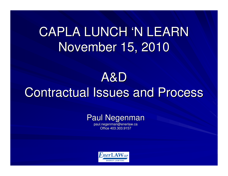## CAPLA LUNCH 'N LEARNNovember 15, 2010

## A&DContractual Issues and Process

## Paul Negenman

paul.negenman@enerlaw.caOffice 403.303.9157

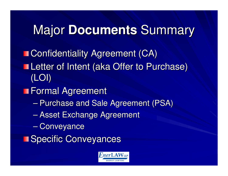# Major **Documents** Summary

**n** Confidentiality Agreement (CA) **Letter of Intent (aka Offer to Purchase)** (LOI)

**Formal Agreement** 

- $\mathcal{L}_{\mathcal{A}}$  , where  $\mathcal{L}_{\mathcal{A}}$  is the set of the set of the set of the set of the set of the set of the set of the set of the set of the set of the set of the set of the set of the set of the set of the set of the  $-$  Purchase and Sale Agreement (PSA)
- $\mathcal{L}_{\mathcal{A}}$ Asset Exchange Agreement
- $\mathcal{L}_{\mathcal{A}}$  , where  $\mathcal{L}_{\mathcal{A}}$  is the set of the set of the set of the set of the set of the set of the set of the set of the set of the set of the set of the set of the set of the set of the set of the set of the – Conveyance
- **El Specific Conveyances**

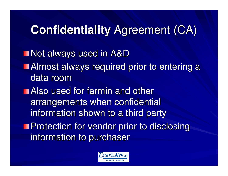# **Confidentiality** Agreement (CA)

■ Not always used in A&D Almost always required prior to entering a data room Also used for farmin and other arrangements when confidential information shown to a third party**Protection for vendor prior to disclosing** information to purchaser

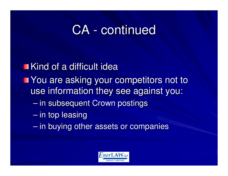## CA - continued

**Kind of a difficult idea** You are asking your competitors not to use information they see against you: $\mathcal{L}_{\mathcal{A}}$  , where  $\mathcal{L}_{\mathcal{A}}$  is the set of the set of the set of the set of the set of the set of the set of the set of the set of the set of the set of the set of the set of the set of the set of the set of the  $-$  in subsequent Crown postings  $\mathcal{L}_{\mathcal{A}}$  $-$  in top leasing

 $\mathcal{L}_{\mathcal{A}}$  , where  $\mathcal{L}_{\mathcal{A}}$  is the set of the set of the set of the set of the set of the set of the set of the set of the set of the set of the set of the set of the set of the set of the set of the set of the  $-$  in buying other assets or companies

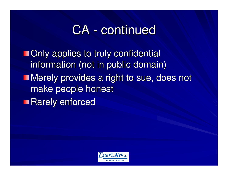## CA - continued

**Only applies to truly confidential** information (not in public domain)**Nerely provides a right to sue, does not** make people honest**Rarely enforced** 

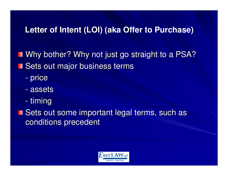### **Letter of Intent (LOI) (aka Offer to Purchase) Letter of Intent (LOI) (a**

**Notailary Why not just go straight to a PSA? Sets out major business terms** 

- -- price
- assets
- -- timing

■ Sets out some important legal terms, such as conditions precedent

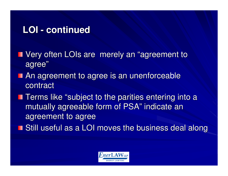## **LOI - continued**

- Very often LOIs are merely an "agreement to ш agree"
- An agreement to agree is an unenforceable contract
- **Terms like "subject to the parities entering into a** mutually agreeable form of PSA" indicate an agreement to agree
- **Still useful as a LOI moves the business deal along**

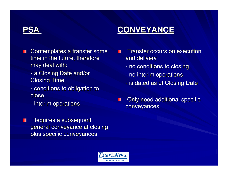### **CONVEYANCE**

- Contemplates a transfer some **The Second** time in the future, therefore may deal with:
	- a Closing Date and/or Closing Time
	- -- conditions to obligation to close
	- -- interim operations
- Requires a subsequent Ш general conveyance at closing plus specific conveyances
- Transfer occurs on execution and delivery
	- -- no conditions to closing
	- -- no interim operations
	- -- is dated as of Closing Date
- Only need additional specific П conveyances

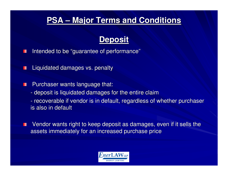## **PSA – Major Terms and Conditions**

### **Deposit**

- Intended to be "guarantee of performance"П
- Liquidated damages vs. penaltyH
- Purchaser wants language that:П
	- deposit is liquidated damages for the entire claim
	- recoverable it vendor is in detailit regardless of recoverable if vendor is in default, regardless of whether purchaser is also in default
- Vendor wants right to keep deposit as damages, even if it sells the Ш assets immediately for an increased purchase price

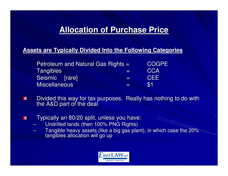### **Allocation of Purchase Price**

#### **Assets are Typically Divided Into the Following Categories**

| Petroleum and Natural Gas Rights = |          | <b>COGPE</b> |
|------------------------------------|----------|--------------|
| <b>Tangibles</b>                   | $\equiv$ | <b>CCA</b>   |
| Seismic [rare]                     | l = 1    | <b>CEE</b>   |
| <b>Miscellaneous</b>               | $=$      | \$1          |
|                                    |          |              |

- Divided this way for tax purposes. Really has nothing to do with the A&D part of the dealП
- Typically an 80/20 split, unless you have: $\blacksquare$ 
	- Undrilled lands (then 100% PNG Rights)
	- Tangible heavy assets (like a big gas plant), in which case the 20% tangibles allocation will go up

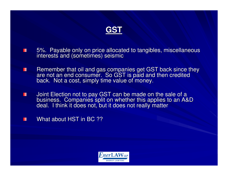

- 5%. Payable only on price allocated to tangibles, miscellaneous interests and (sometimes) seismicш
- П Remember that oil and gas companies get GST back since they are not an end consumer. So GST is paid and then credited back. Not a cost, simply time value of money.
- ш Joint Election not to pay GST can be made on the sale of a business. Companies split on whether this applies to an A&D deal. I think it does not, but it does not really matter
- What about HST in BC ??Ш

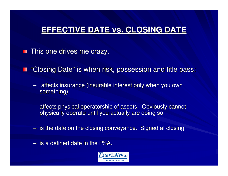## **EFFECTIVE DATE vs. CLOSING DATE**

 $\blacksquare$  This one drives me crazy.

- "Closing Date" is when risk, possession and title pass:
	- –- affects insurance (insurable interest only when you own something)
	- –- affects physical operatorship of assets. Obviously cannot physically operate until you actually are doing so
	- – $-$  is the date on the closing conveyance. Signed at closing
	- – $-$  is a defined date in the PSA.

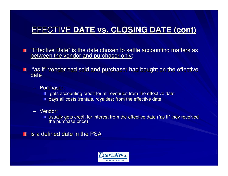- "Effective Date" is the date chosen to settle accounting matters <u>as</u> between the vendor and purchaser only:
- "as if" vendor had sold and purchaser had bought on the effective w date
	- Purchaser:
		- gets accounting credit for all revenues from the effective date
		- **pays all costs (rentals, royalties) from the effective date**
	- Vendor:
		- usually gets credit for interest from the effective date ("as if" they received the purchase price)

**is a defined date in the PSA** 

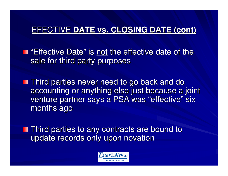"Effective Date" is <u>not</u> the effective date of the sale for third party purposes

**Third parties never need to go back and do**  accounting or anything else just because a joint venture partner says a PSA was "effective" six months ago

**Third parties to any contracts are bound to** update records only upon novation

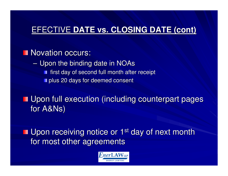### Novation occurs:

**Line Communication**  $-$  Upon the binding date in NOAs **first day of second full month after receipt plus 20 days for deemed consent** 

**Upon full execution (including counterpart pages** for A&Ns)

**Upon receiving notice or 1st day of next month** for most other agreements

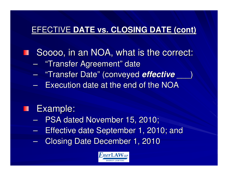Soooo, in an NOA, what is the correct:

- $\mathcal{L}_{\mathcal{A}}$ – "Transfer Agreement" date
- "Transfer Date" (conveyed **effective** \_\_\_)  $\mathcal{L}_{\mathcal{A}}$  , where  $\mathcal{L}_{\mathcal{A}}$  is the set of the set of the set of the set of the set of the set of the set of the set of the set of the set of the set of the set of the set of the set of the set of the set of the
- $\mathcal{L}_{\mathcal{A}}$  , where  $\mathcal{L}_{\mathcal{A}}$  is the set of the set of the set of the set of the set of the set of the set of the set of the set of the set of the set of the set of the set of the set of the set of the set of the - Execution date at the end of the NOA

#### Example:

- $\mathcal{L}_{\mathcal{A}}$  , where  $\mathcal{L}_{\mathcal{A}}$  is the set of the set of the set of the set of the set of the set of the set of the set of the set of the set of the set of the set of the set of the set of the set of the set of the - PSA dated November 15, 2010;
- –**Effective date September 1, 2010; and**
- Closing Date December 1, 2010

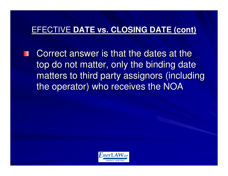Correct answer is that the dates at the top do not matter, only the binding date matters to third party assignors (including the operator) who receives the NOA

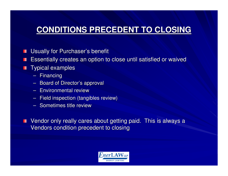## **CONDITIONS PRECEDENT TO CLOSING**

- Usually for Purchaser's benefitШ
- Essentially creates an option to close until satisfied or waived**The Second**
- Typical examples**TIME** 
	- Financing
	- Board of Director's approval
	- Environmental review
	- Field inspection (tangibles review)
	- Sometimes title review

Vendor only really cares about getting paid. This is always a ш Vendors condition precedent to closing

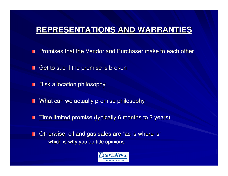## **REPRESENTATIONS AND WARRANTIES**

- Promises that the Vendor and Purchaser make to each other
- Get to sue if the promise is broken
- Risk allocation philosophyП
- What can we actually promise philosophyH
- Time limited promise (typically 6 months to 2 years)
- Otherwise, oil and gas sales are "as is where is" $\blacksquare$ 
	- $\rightarrow$ which is why you do title opinions

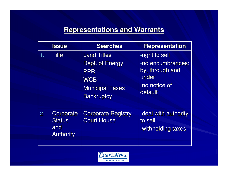### **Representations and Warrants**

|    | <b>Issue</b>                                          | <b>Searches</b>                                                                                                  | <b>Representation</b>                                                                       |
|----|-------------------------------------------------------|------------------------------------------------------------------------------------------------------------------|---------------------------------------------------------------------------------------------|
|    | <b>Title</b>                                          | <b>Land Titles</b><br>Dept. of Energy<br><b>PPR</b><br><b>WCB</b><br><b>Municipal Taxes</b><br><b>Bankruptcy</b> | -right to sell<br>-no encumbrances;<br>by, through and<br>under<br>-no notice of<br>default |
| 2. | Corporate<br><b>Status</b><br>and<br><b>Authority</b> | <b>Corporate Registry</b><br><b>Court House</b>                                                                  | -deal with authority<br>to sell<br>-withholding taxes                                       |

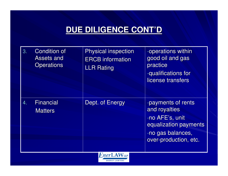## **DUE DILIGENCE CONT'D**

| 3. | <b>Condition of</b><br><b>Assets and</b><br><b>Operations</b> | <b>Physical inspection</b><br><b>ERCB</b> information<br><b>LLR Rating</b> | -operations within<br>good oil and gas<br>practice<br>-qualifications for<br>license transfers                                |
|----|---------------------------------------------------------------|----------------------------------------------------------------------------|-------------------------------------------------------------------------------------------------------------------------------|
| 4. | <b>Financial</b><br><b>Matters</b>                            | Dept. of Energy                                                            | -payments of rents<br>and royalties<br>-no AFE's, unit<br>equalization payments<br>-no gas balances,<br>over-production, etc. |

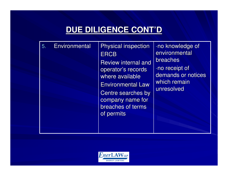## **DUE DILIGENCE CONT'D**

| 5. | Environmental | <b>Physical inspection</b><br><b>ERCB</b><br><b>Review internal and</b><br>operator's records<br>where available<br><b>Environmental Law</b><br>Centre searches by<br>company name for<br>breaches of terms<br>of permits | -no knowledge of<br>environmental<br>breaches<br>-no receipt of<br>demands or notices<br>which remain<br>unresolved |
|----|---------------|---------------------------------------------------------------------------------------------------------------------------------------------------------------------------------------------------------------------------|---------------------------------------------------------------------------------------------------------------------|
|----|---------------|---------------------------------------------------------------------------------------------------------------------------------------------------------------------------------------------------------------------------|---------------------------------------------------------------------------------------------------------------------|

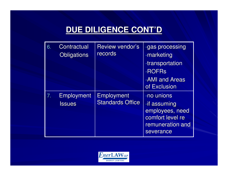## **DUE DILIGENCE CONT'D**

| 6. | Contractual<br><b>Obligations</b>  | <b>Review vendor's</b><br>records            | -gas processing<br>-marketing<br>-transportation<br>-ROFRs<br>-AMI and Areas<br>of Exclusion       |
|----|------------------------------------|----------------------------------------------|----------------------------------------------------------------------------------------------------|
| 7. | <b>Employment</b><br><b>Issues</b> | <b>Employment</b><br><b>Standards Office</b> | -no unions<br>-if assuming<br>employees, need<br>comfort level re<br>remuneration and<br>severance |

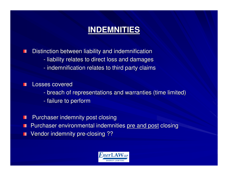### **INDEMNITIES**

Distinction between liability and indemnification

- -- liability relates to direct loss and damages
- -- indemnification relates to third party claims

Losses covered

- breach of representations and warranties (time limited)
- -- failure to perform
- Purchaser indemnity post closing $\blacksquare$
- Purchaser environmental indemnities <u>pre and post</u> closing
- Vendor indemnity pre-closing ?? $\blacksquare$

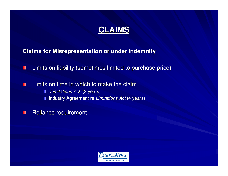### **CLAIMS**

**Claims for Misrepresentation or under Indemnity**

Limits on liability (sometimes limited to purchase price)П

Limits on time in which to make the claim $\blacksquare$ 

> Limitations Act (2 years) $\blacksquare$

Industry Agreement re *Limitations Act* (4 years)

Reliance requirement $\blacksquare$ 

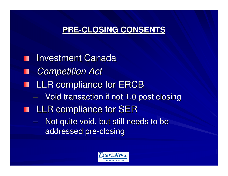## **PRE-CLOSING CONSENTS**

**Investment Canada Competition Act LLR compliance for ERCB**  $\mathcal{L}_{\mathcal{A}}$  , where  $\mathcal{L}_{\mathcal{A}}$  is the set of the set of the set of the set of the set of the set of the set of the set of the set of the set of the set of the set of the set of the set of the set of the set of the  $-$  Void transaction if not 1.0 post closing **THE LLR compliance for SER** - Not quite void, but still needs to be  $\mathcal{L}_{\mathcal{A}}$ addressed pre-closing

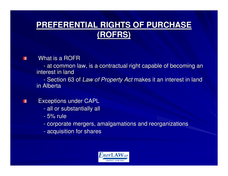## **PREFERENTIAL RIGHTS OF PURCHASE (ROFRS)**

What is a ROFR

m

H

- at common at common law, is a contractual right capable of becoming an interest in land

-- Section 63 of *Law of Property Act* makes it an interest in land in Alberta

Exceptions under CAPL

- -- all or substantially all
- -5% rule
- corporate mergers, amalgamations and reorganizations
- -- acquisition for shares

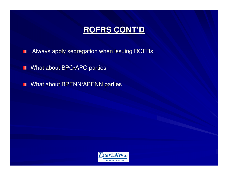- Always apply segregation when issuing ROFRsП
- What about BPO/APO parties $\blacksquare$
- What about BPENN/APENN parties  $\blacksquare$

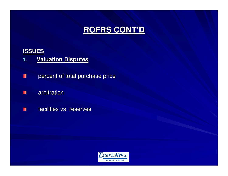#### **ISSUES**

- **Valuation Disputes1.**
- percent of total purchase price $\blacksquare$
- arbitration $\blacksquare$
- facilities vs. reservesП

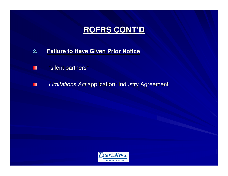- **2.Failure to Have Given Prior Notice**
- "silent partners"H
- Limitations Act application: Industry AgreementП

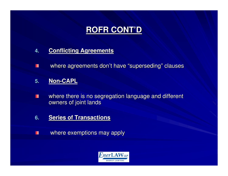- **4.Conflicting Agreements**
- $\blacksquare$ where agreements don't have "superseding" clauses
- **5.Non-CAPL**
- where there is no segregation language and different  $\blacksquare$ owners of joint lands
- **6.Series of Transactions**
- where exemptions may applyП

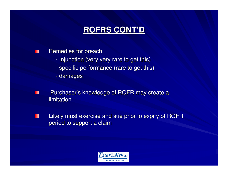- Remedies for breach $\blacksquare$ 
	- -- Injunction (very very rare to get this)
	- specific performance (rare to get this)
	- damages
- Purchaser's knowledge of ROFR may create a  $\blacksquare$ limitation
- Likely must exercise and sue prior to expiry of ROFR П period to support a claim